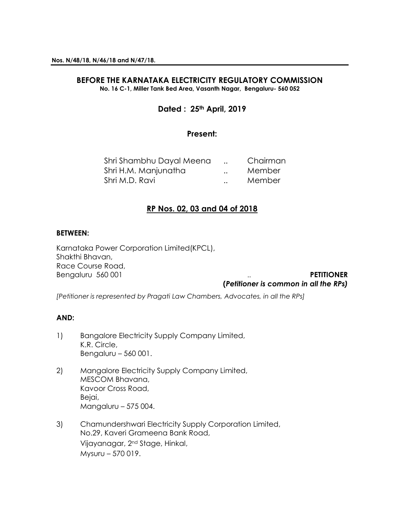### **BEFORE THE KARNATAKA ELECTRICITY REGULATORY COMMISSION No. 16 C-1, Miller Tank Bed Area, Vasanth Nagar, Bengaluru- 560 052**

# **Dated : 25th April, 2019**

## **Present:**

| Shri Shambhu Dayal Meena |                      | Chairman |
|--------------------------|----------------------|----------|
| Shri H.M. Manjunatha     | $\ddot{\phantom{a}}$ | Member   |
| Shri M.D. Ravi           | $\ddot{\phantom{a}}$ | Member   |

# **RP Nos. 02, 03 and 04 of 2018**

#### **BETWEEN:**

Karnataka Power Corporation Limited(KPCL), Shakthi Bhavan, Race Course Road, Bengaluru 560 001 **PETITIONER** 

# **(***Petitioner is common in all the RPs)*

*[Petitioner is represented by Pragati Law Chambers, Advocates, in all the RPs]*

# **AND:**

- 1) Bangalore Electricity Supply Company Limited, K.R. Circle, Bengaluru – 560 001.
- 2) Mangalore Electricity Supply Company Limited, MESCOM Bhavana, Kavoor Cross Road, Bejai, Mangaluru – 575 004.
- 3) Chamundershwari Electricity Supply Corporation Limited, No.29, Kaveri Grameena Bank Road, Vijayanagar, 2nd Stage, Hinkal, Mysuru – 570 019.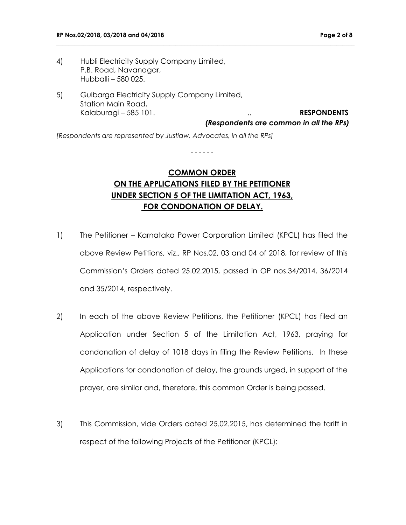- 4) Hubli Electricity Supply Company Limited, P.B. Road, Navanagar, Hubballi – 580 025.
- 5) Gulbarga Electricity Supply Company Limited, Station Main Road, Kalaburagi – 585 101. **RESPONDENTS**

**\_\_\_\_\_\_\_\_\_\_\_\_\_\_\_\_\_\_\_\_\_\_\_\_\_\_\_\_\_\_\_\_\_\_\_\_\_\_\_\_\_\_\_\_\_\_\_\_\_\_\_\_\_\_\_\_\_\_\_\_\_\_\_\_\_\_\_\_\_\_\_\_\_\_\_\_\_\_\_\_\_\_\_\_\_\_\_\_\_\_\_\_\_\_\_\_\_\_\_\_**

*(Respondents are common in all the RPs)*

*[Respondents are represented by Justlaw, Advocates, in all the RPs]*

# **COMMON ORDER ON THE APPLICATIONS FILED BY THE PETITIONER UNDER SECTION 5 OF THE LIMITATION ACT, 1963, FOR CONDONATION OF DELAY.**

- - - - - -

- 1) The Petitioner Karnataka Power Corporation Limited (KPCL) has filed the above Review Petitions, viz., RP Nos.02, 03 and 04 of 2018, for review of this Commission's Orders dated 25.02.2015, passed in OP nos.34/2014, 36/2014 and 35/2014, respectively.
- 2) In each of the above Review Petitions, the Petitioner (KPCL) has filed an Application under Section 5 of the Limitation Act, 1963, praying for condonation of delay of 1018 days in filing the Review Petitions. In these Applications for condonation of delay, the grounds urged, in support of the prayer, are similar and, therefore, this common Order is being passed.
- 3) This Commission, vide Orders dated 25.02.2015, has determined the tariff in respect of the following Projects of the Petitioner (KPCL):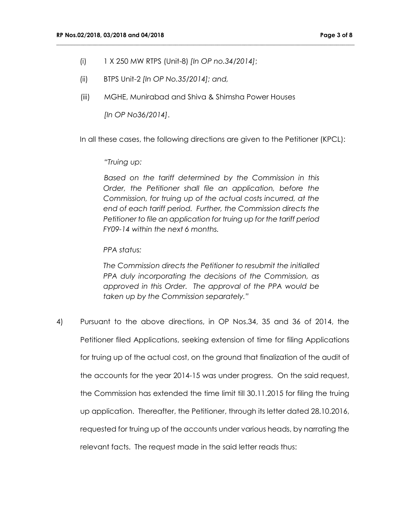- (i) 1 X 250 MW RTPS (Unit-8) *[In OP no.34/2014]*;
- (ii) BTPS Unit-2 *[In OP No.35/2014]; and,*
- (iii) MGHE, Munirabad and Shiva & Shimsha Power Houses

*[In OP No36/2014]*.

In all these cases, the following directions are given to the Petitioner (KPCL):

**\_\_\_\_\_\_\_\_\_\_\_\_\_\_\_\_\_\_\_\_\_\_\_\_\_\_\_\_\_\_\_\_\_\_\_\_\_\_\_\_\_\_\_\_\_\_\_\_\_\_\_\_\_\_\_\_\_\_\_\_\_\_\_\_\_\_\_\_\_\_\_\_\_\_\_\_\_\_\_\_\_\_\_\_\_\_\_\_\_\_\_\_\_\_\_\_\_\_\_\_**

## *"Truing up:*

*Based on the tariff determined by the Commission in this Order, the Petitioner shall file an application, before the Commission, for truing up of the actual costs incurred, at the end of each tariff period. Further, the Commission directs the Petitioner to file an application for truing up for the tariff period FY09-14 within the next 6 months.*

## *PPA status:*

*The Commission directs the Petitioner to resubmit the initialled PPA duly incorporating the decisions of the Commission, as approved in this Order. The approval of the PPA would be taken up by the Commission separately."*

4) Pursuant to the above directions, in OP Nos.34, 35 and 36 of 2014, the Petitioner filed Applications, seeking extension of time for filing Applications for truing up of the actual cost, on the ground that finalization of the audit of the accounts for the year 2014-15 was under progress. On the said request, the Commission has extended the time limit till 30.11.2015 for filing the truing up application. Thereafter, the Petitioner, through its letter dated 28.10.2016, requested for truing up of the accounts under various heads, by narrating the relevant facts. The request made in the said letter reads thus: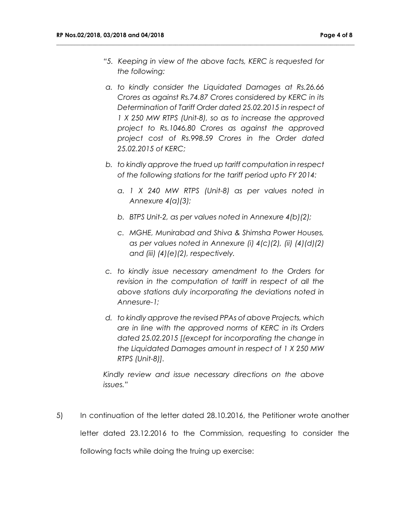*"5. Keeping in view of the above facts, KERC is requested for the following:*

**\_\_\_\_\_\_\_\_\_\_\_\_\_\_\_\_\_\_\_\_\_\_\_\_\_\_\_\_\_\_\_\_\_\_\_\_\_\_\_\_\_\_\_\_\_\_\_\_\_\_\_\_\_\_\_\_\_\_\_\_\_\_\_\_\_\_\_\_\_\_\_\_\_\_\_\_\_\_\_\_\_\_\_\_\_\_\_\_\_\_\_\_\_\_\_\_\_\_\_\_**

- *a. to kindly consider the Liquidated Damages at Rs.26.66 Crores as against Rs.74.87 Crores considered by KERC in its Determination of Tariff Order dated 25.02.2015 in respect of 1 X 250 MW RTPS (Unit-8), so as to increase the approved project to Rs.1046.80 Crores as against the approved project cost of Rs.998.59 Crores in the Order dated 25.02.2015 of KERC;*
- *b. to kindly approve the trued up tariff computation in respect of the following stations for the tariff period upto FY 2014:*
	- *a. 1 X 240 MW RTPS (Unit-8) as per values noted in Annexure 4(a)(3);*
	- *b. BTPS Unit-2, as per values noted in Annexure 4(b)(2);*
	- *c. MGHE, Munirabad and Shiva & Shimsha Power Houses, as per values noted in Annexure (i) 4(c)(2), (ii) (4)(d)(2) and (iii) (4)(e)(2), respectively.*
- *c. to kindly issue necessary amendment to the Orders for revision in the computation of tariff in respect of all the above stations duly incorporating the deviations noted in Annesure-1;*
- *d. to kindly approve the revised PPAs of above Projects, which are in line with the approved norms of KERC in its Orders dated 25.02.2015 [(except for incorporating the change in the Liquidated Damages amount in respect of 1 X 250 MW RTPS (Unit-8)].*

*Kindly review and issue necessary directions on the above issues."*

5) In continuation of the letter dated 28.10.2016, the Petitioner wrote another letter dated 23.12.2016 to the Commission, requesting to consider the following facts while doing the truing up exercise: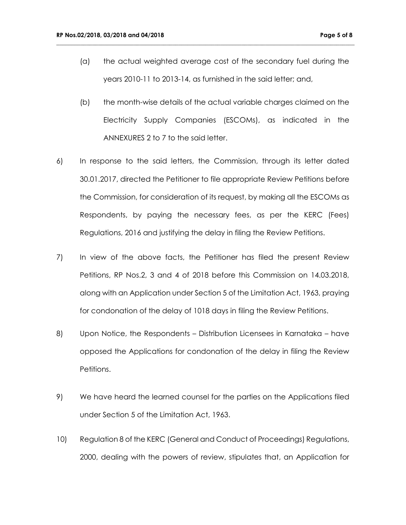(a) the actual weighted average cost of the secondary fuel during the years 2010-11 to 2013-14, as furnished in the said letter; and,

**\_\_\_\_\_\_\_\_\_\_\_\_\_\_\_\_\_\_\_\_\_\_\_\_\_\_\_\_\_\_\_\_\_\_\_\_\_\_\_\_\_\_\_\_\_\_\_\_\_\_\_\_\_\_\_\_\_\_\_\_\_\_\_\_\_\_\_\_\_\_\_\_\_\_\_\_\_\_\_\_\_\_\_\_\_\_\_\_\_\_\_\_\_\_\_\_\_\_\_\_**

- (b) the month-wise details of the actual variable charges claimed on the Electricity Supply Companies (ESCOMs), as indicated in the ANNEXURES 2 to 7 to the said letter.
- 6) In response to the said letters, the Commission, through its letter dated 30.01.2017, directed the Petitioner to file appropriate Review Petitions before the Commission, for consideration of its request, by making all the ESCOMs as Respondents, by paying the necessary fees, as per the KERC (Fees) Regulations, 2016 and justifying the delay in filing the Review Petitions.
- 7) In view of the above facts, the Petitioner has filed the present Review Petitions, RP Nos.2, 3 and 4 of 2018 before this Commission on 14.03.2018, along with an Application under Section 5 of the Limitation Act, 1963, praying for condonation of the delay of 1018 days in filing the Review Petitions.
- 8) Upon Notice, the Respondents Distribution Licensees in Karnataka have opposed the Applications for condonation of the delay in filing the Review Petitions.
- 9) We have heard the learned counsel for the parties on the Applications filed under Section 5 of the Limitation Act, 1963.
- 10) Regulation 8 of the KERC (General and Conduct of Proceedings) Regulations, 2000, dealing with the powers of review, stipulates that, an Application for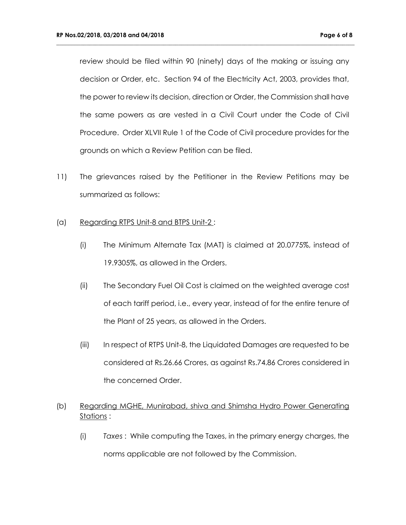review should be filed within 90 (ninety) days of the making or issuing any decision or Order, etc. Section 94 of the Electricity Act, 2003, provides that, the power to review its decision, direction or Order, the Commission shall have the same powers as are vested in a Civil Court under the Code of Civil Procedure. Order XLVII Rule 1 of the Code of Civil procedure provides for the grounds on which a Review Petition can be filed.

**\_\_\_\_\_\_\_\_\_\_\_\_\_\_\_\_\_\_\_\_\_\_\_\_\_\_\_\_\_\_\_\_\_\_\_\_\_\_\_\_\_\_\_\_\_\_\_\_\_\_\_\_\_\_\_\_\_\_\_\_\_\_\_\_\_\_\_\_\_\_\_\_\_\_\_\_\_\_\_\_\_\_\_\_\_\_\_\_\_\_\_\_\_\_\_\_\_\_\_\_**

11) The grievances raised by the Petitioner in the Review Petitions may be summarized as follows:

## (a) Regarding RTPS Unit-8 and BTPS Unit-2 :

- (i) The Minimum Alternate Tax (MAT) is claimed at 20.0775%, instead of 19.9305%, as allowed in the Orders.
- (ii) The Secondary Fuel Oil Cost is claimed on the weighted average cost of each tariff period, i.e., every year, instead of for the entire tenure of the Plant of 25 years, as allowed in the Orders.
- (iii) In respect of RTPS Unit-8, the Liquidated Damages are requested to be considered at Rs.26.66 Crores, as against Rs.74.86 Crores considered in the concerned Order.

# (b) Regarding MGHE, Munirabad, shiva and Shimsha Hydro Power Generating Stations :

(i) *Taxes* : While computing the Taxes, in the primary energy charges, the norms applicable are not followed by the Commission.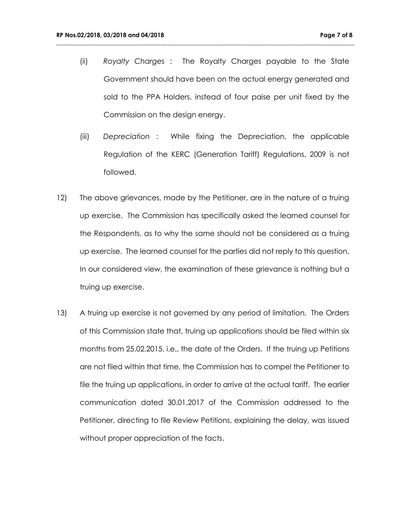(ii) *Royalty Charges* : The Royalty Charges payable to the State Government should have been on the actual energy generated and sold to the PPA Holders, instead of four paise per unit fixed by the Commission on the design energy.

**\_\_\_\_\_\_\_\_\_\_\_\_\_\_\_\_\_\_\_\_\_\_\_\_\_\_\_\_\_\_\_\_\_\_\_\_\_\_\_\_\_\_\_\_\_\_\_\_\_\_\_\_\_\_\_\_\_\_\_\_\_\_\_\_\_\_\_\_\_\_\_\_\_\_\_\_\_\_\_\_\_\_\_\_\_\_\_\_\_\_\_\_\_\_\_\_\_\_\_\_**

- (iii) *Depreciation* : While fixing the Depreciation, the applicable Regulation of the KERC (Generation Tariff) Regulations, 2009 is not followed.
- 12) The above grievances, made by the Petitioner, are in the nature of a truing up exercise. The Commission has specifically asked the learned counsel for the Respondents, as to why the same should not be considered as a truing up exercise. The learned counsel for the parties did not reply to this question. In our considered view, the examination of these grievance is nothing but a truing up exercise.
- 13) A truing up exercise is not governed by any period of limitation. The Orders of this Commission state that, truing up applications should be filed within six months from 25.02.2015. i.e., the date of the Orders. If the truing up Petitions are not filed within that time, the Commission has to compel the Petitioner to file the truing up applications, in order to arrive at the actual tariff. The earlier communication dated 30.01.2017 of the Commission addressed to the Petitioner, directing to file Review Petitions, explaining the delay, was issued without proper appreciation of the facts.